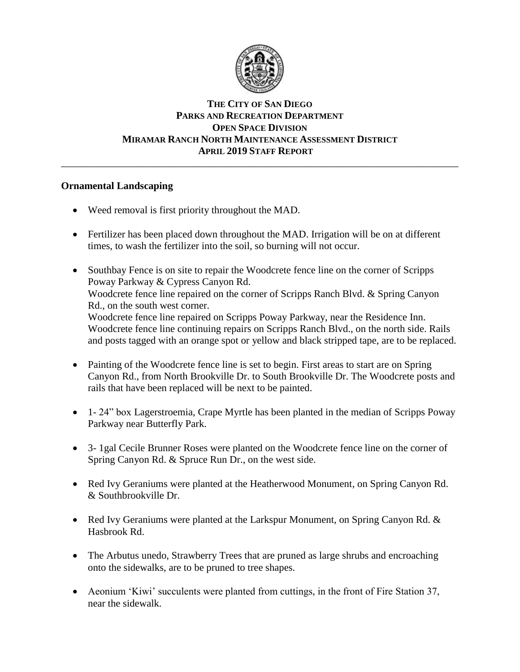

# **THE CITY OF SAN DIEGO PARKS AND RECREATION DEPARTMENT OPEN SPACE DIVISION MIRAMAR RANCH NORTH MAINTENANCE ASSESSMENT DISTRICT APRIL 2019 STAFF REPORT**

\_\_\_\_\_\_\_\_\_\_\_\_\_\_\_\_\_\_\_\_\_\_\_\_\_\_\_\_\_\_\_\_\_\_\_\_\_\_\_\_\_\_\_\_\_\_\_\_\_\_\_\_\_\_\_\_\_\_\_\_\_\_\_\_\_\_\_\_\_\_\_\_\_\_\_\_\_\_

# **Ornamental Landscaping**

- Weed removal is first priority throughout the MAD.
- Fertilizer has been placed down throughout the MAD. Irrigation will be on at different times, to wash the fertilizer into the soil, so burning will not occur.
- Southbay Fence is on site to repair the Woodcrete fence line on the corner of Scripps Poway Parkway & Cypress Canyon Rd. Woodcrete fence line repaired on the corner of Scripps Ranch Blvd. & Spring Canyon Rd., on the south west corner. Woodcrete fence line repaired on Scripps Poway Parkway, near the Residence Inn. Woodcrete fence line continuing repairs on Scripps Ranch Blvd., on the north side. Rails and posts tagged with an orange spot or yellow and black stripped tape, are to be replaced.
- Painting of the Woodcrete fence line is set to begin. First areas to start are on Spring Canyon Rd., from North Brookville Dr. to South Brookville Dr. The Woodcrete posts and rails that have been replaced will be next to be painted.
- 1- 24" box Lagerstroemia, Crape Myrtle has been planted in the median of Scripps Poway Parkway near Butterfly Park.
- 3- 1gal Cecile Brunner Roses were planted on the Woodcrete fence line on the corner of Spring Canyon Rd. & Spruce Run Dr., on the west side.
- Red Ivy Geraniums were planted at the Heatherwood Monument, on Spring Canyon Rd. & Southbrookville Dr.
- Red Ivy Geraniums were planted at the Larkspur Monument, on Spring Canyon Rd. & Hasbrook Rd.
- The Arbutus unedo, Strawberry Trees that are pruned as large shrubs and encroaching onto the sidewalks, are to be pruned to tree shapes.
- Aeonium 'Kiwi' succulents were planted from cuttings, in the front of Fire Station 37, near the sidewalk.